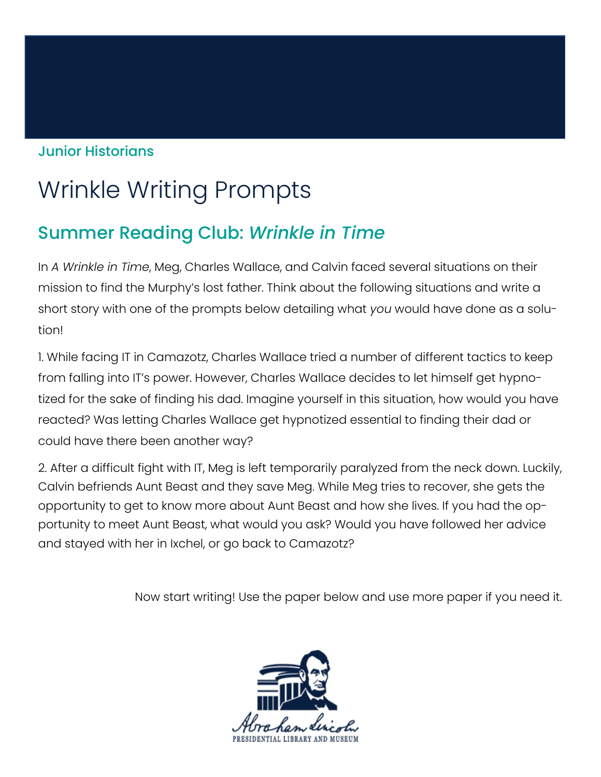## Junior Historians

## Wrinkle Writing Prompts

## Summer Reading Club: *Wrinkle in Time*

In *A Wrinkle in Time*, Meg, Charles Wallace, and Calvin faced several situations on their mission to find the Murphy's lost father. Think about the following situations and write a short story with one of the prompts below detailing what *you* would have done as a solution!

1. While facing IT in Camazotz, Charles Wallace tried a number of different tactics to keep from falling into IT's power. However, Charles Wallace decides to let himself get hypnotized for the sake of finding his dad. Imagine yourself in this situation, how would you have reacted? Was letting Charles Wallace get hypnotized essential to finding their dad or could have there been another way?

2. After a difficult fight with IT, Meg is left temporarily paralyzed from the neck down. Luckily, Calvin befriends Aunt Beast and they save Meg. While Meg tries to recover, she gets the opportunity to get to know more about Aunt Beast and how she lives. If you had the opportunity to meet Aunt Beast, what would you ask? Would you have followed her advice and stayed with her in Ixchel, or go back to Camazotz?

Now start writing! Use the paper below and use more paper if you need it.